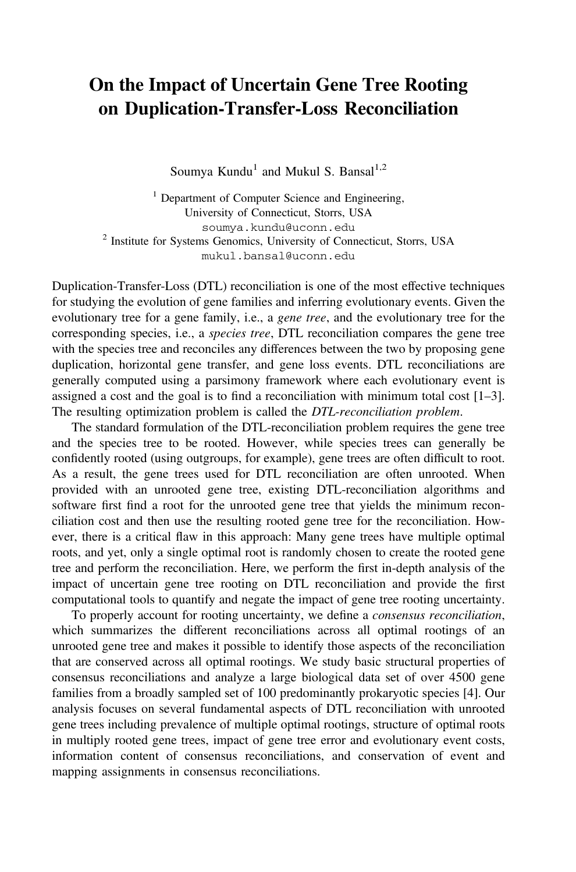## On the Impact of Uncertain Gene Tree Rooting on Duplication-Transfer-Loss Reconciliation

Soumya Kundu<sup>1</sup> and Mukul S. Bansal<sup>1,2</sup>

 $<sup>1</sup>$  Department of Computer Science and Engineering,</sup> University of Connecticut, Storrs, USA soumya.kundu@uconn.edu <sup>2</sup> Institute for Systems Genomics, University of Connecticut, Storrs, USA mukul.bansal@uconn.edu

Duplication-Transfer-Loss (DTL) reconciliation is one of the most effective techniques for studying the evolution of gene families and inferring evolutionary events. Given the evolutionary tree for a gene family, i.e., a *gene tree*, and the evolutionary tree for the corresponding species, i.e., a species tree, DTL reconciliation compares the gene tree with the species tree and reconciles any differences between the two by proposing gene duplication, horizontal gene transfer, and gene loss events. DTL reconciliations are generally computed using a parsimony framework where each evolutionary event is assigned a cost and the goal is to find a reconciliation with minimum total cost  $[1-3]$ . The resulting optimization problem is called the DTL-reconciliation problem.

The standard formulation of the DTL-reconciliation problem requires the gene tree and the species tree to be rooted. However, while species trees can generally be confidently rooted (using outgroups, for example), gene trees are often difficult to root. As a result, the gene trees used for DTL reconciliation are often unrooted. When provided with an unrooted gene tree, existing DTL-reconciliation algorithms and software first find a root for the unrooted gene tree that yields the minimum reconciliation cost and then use the resulting rooted gene tree for the reconciliation. However, there is a critical flaw in this approach: Many gene trees have multiple optimal roots, and yet, only a single optimal root is randomly chosen to create the rooted gene tree and perform the reconciliation. Here, we perform the first in-depth analysis of the impact of uncertain gene tree rooting on DTL reconciliation and provide the first computational tools to quantify and negate the impact of gene tree rooting uncertainty.

To properly account for rooting uncertainty, we define a consensus reconciliation, which summarizes the different reconciliations across all optimal rootings of an unrooted gene tree and makes it possible to identify those aspects of the reconciliation that are conserved across all optimal rootings. We study basic structural properties of consensus reconciliations and analyze a large biological data set of over 4500 gene families from a broadly sampled set of 100 predominantly prokaryotic species [4]. Our analysis focuses on several fundamental aspects of DTL reconciliation with unrooted gene trees including prevalence of multiple optimal rootings, structure of optimal roots in multiply rooted gene trees, impact of gene tree error and evolutionary event costs, information content of consensus reconciliations, and conservation of event and mapping assignments in consensus reconciliations.